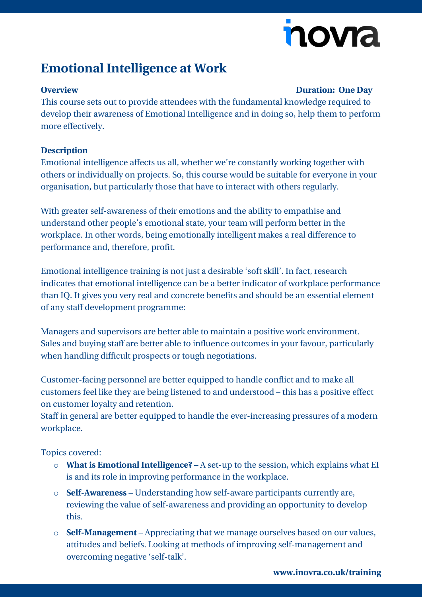# nova

## **Emotional Intelligence at Work**

#### **Overview Duration: One Day**

This course sets out to provide attendees with the fundamental knowledge required to develop their awareness of Emotional Intelligence and in doing so, help them to perform more effectively.

### **Description**

Emotional intelligence affects us all, whether we're constantly working together with others or individually on projects. So, this course would be suitable for everyone in your organisation, but particularly those that have to interact with others regularly.

With greater self-awareness of their emotions and the ability to empathise and understand other people's emotional state, your team will perform better in the workplace. In other words, being emotionally intelligent makes a real difference to performance and, therefore, profit.

Emotional intelligence training is not just a desirable 'soft skill'. In fact, research indicates that emotional intelligence can be a better indicator of workplace performance than IQ. It gives you very real and concrete benefits and should be an essential element of any staff development programme:

Managers and supervisors are better able to maintain a positive work environment. Sales and buying staff are better able to influence outcomes in your favour, particularly when handling difficult prospects or tough negotiations.

Customer-facing personnel are better equipped to handle conflict and to make all customers feel like they are being listened to and understood – this has a positive effect on customer loyalty and retention.

Staff in general are better equipped to handle the ever-increasing pressures of a modern workplace.

Topics covered:

- o **What is Emotional Intelligence?** A set-up to the session, which explains what EI is and its role in improving performance in the workplace.
- o **Self-Awareness** Understanding how self-aware participants currently are, reviewing the value of self-awareness and providing an opportunity to develop this.
- o **Self-Management** Appreciating that we manage ourselves based on our values, attitudes and beliefs. Looking at methods of improving self-management and overcoming negative 'self-talk'.

**[www.inovra.co.uk/training](http://www.inovra.co.uk/training)**